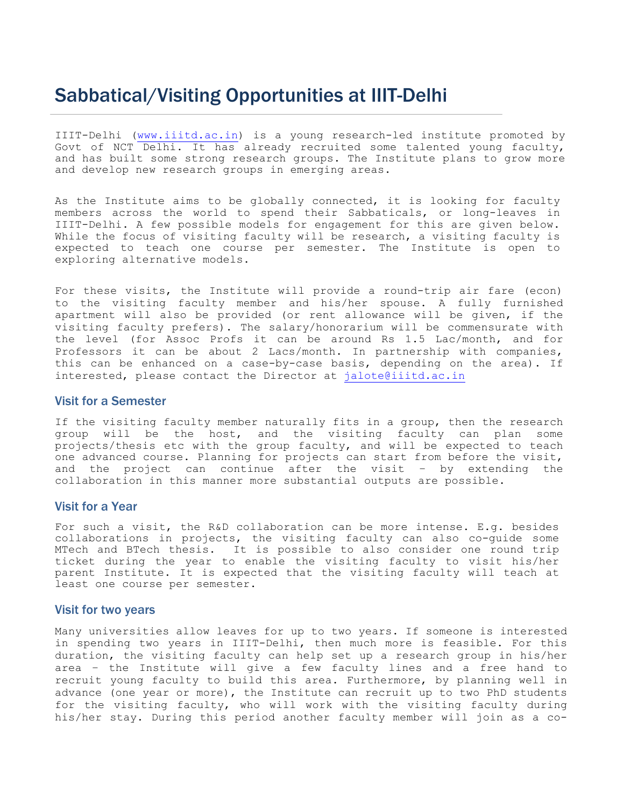## Sabbatical/Visiting Opportunities at IIIT-Delhi

IIIT-Delhi (www.iiitd.ac.in) is a young research-led institute promoted by Govt of NCT Delhi. It has already recruited some talented young faculty, and has built some strong research groups. The Institute plans to grow more and develop new research groups in emerging areas.

As the Institute aims to be globally connected, it is looking for faculty members across the world to spend their Sabbaticals, or long-leaves in IIIT-Delhi. A few possible models for engagement for this are given below. While the focus of visiting faculty will be research, a visiting faculty is expected to teach one course per semester. The Institute is open to exploring alternative models.

For these visits, the Institute will provide a round-trip air fare (econ) to the visiting faculty member and his/her spouse. A fully furnished apartment will also be provided (or rent allowance will be given, if the visiting faculty prefers). The salary/honorarium will be commensurate with the level (for Assoc Profs it can be around Rs 1.5 Lac/month, and for Professors it can be about 2 Lacs/month. In partnership with companies, this can be enhanced on a case-by-case basis, depending on the area). If interested, please contact the Director at jalote@iiitd.ac.in

## Visit for a Semester

If the visiting faculty member naturally fits in a group, then the research group will be the host, and the visiting faculty can plan some projects/thesis etc with the group faculty, and will be expected to teach one advanced course. Planning for projects can start from before the visit, and the project can continue after the visit – by extending the collaboration in this manner more substantial outputs are possible.

## Visit for a Year

For such a visit, the R&D collaboration can be more intense. E.g. besides collaborations in projects, the visiting faculty can also co-guide some MTech and BTech thesis. It is possible to also consider one round trip ticket during the year to enable the visiting faculty to visit his/her parent Institute. It is expected that the visiting faculty will teach at least one course per semester.

## Visit for two years

Many universities allow leaves for up to two years. If someone is interested in spending two years in IIIT-Delhi, then much more is feasible. For this duration, the visiting faculty can help set up a research group in his/her area – the Institute will give a few faculty lines and a free hand to recruit young faculty to build this area. Furthermore, by planning well in advance (one year or more), the Institute can recruit up to two PhD students for the visiting faculty, who will work with the visiting faculty during his/her stay. During this period another faculty member will join as a co-